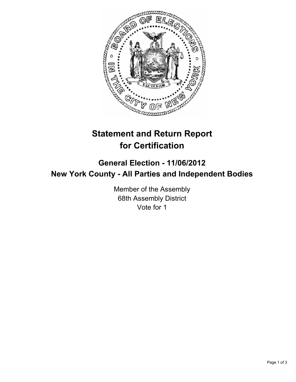

## **Statement and Return Report for Certification**

## **General Election - 11/06/2012 New York County - All Parties and Independent Bodies**

Member of the Assembly 68th Assembly District Vote for 1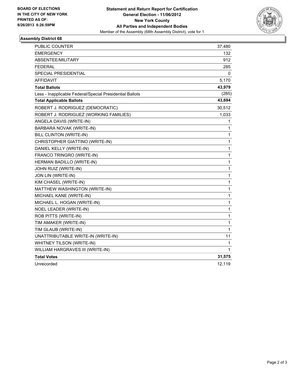

## **Assembly District 68**

| PUBLIC COUNTER                                           | 37,480       |
|----------------------------------------------------------|--------------|
| <b>EMERGENCY</b>                                         | 132          |
| ABSENTEE/MILITARY                                        | 912          |
| FEDERAL                                                  | 285          |
| <b>SPECIAL PRESIDENTIAL</b>                              | 0            |
| <b>AFFIDAVIT</b>                                         | 5,170        |
| <b>Total Ballots</b>                                     | 43,979       |
| Less - Inapplicable Federal/Special Presidential Ballots | (285)        |
| <b>Total Applicable Ballots</b>                          | 43,694       |
| ROBERT J. RODRIGUEZ (DEMOCRATIC)                         | 30,512       |
| ROBERT J. RODRIGUEZ (WORKING FAMILIES)                   | 1,033        |
| ANGELA DAVIS (WRITE-IN)                                  | 1            |
| BARBARA NOVAK (WRITE-IN)                                 | 1            |
| BILL CLINTON (WRITE-IN)                                  | 1            |
| CHRISTOPHER GIATTINO (WRITE-IN)                          | 1            |
| DANIEL KELLY (WRITE-IN)                                  | $\mathbf{1}$ |
| FRANCO TRINGRO (WRITE-IN)                                | 1            |
| HERMAN BADILLO (WRITE-IN)                                | 1            |
| JOHN RUIZ (WRITE-IN)                                     | 1            |
| JON LIN (WRITE-IN)                                       | 1            |
| KIM CHASEL (WRITE-IN)                                    | 1            |
| MATTHEW WASHINGTON (WRITE-IN)                            | 1            |
| MICHAEL KANE (WRITE-IN)                                  | 1            |
| MICHAEL L. HOGAN (WRITE-IN)                              | $\mathbf{1}$ |
| NOEL LEADER (WRITE-IN)                                   | 1            |
| ROB PITTS (WRITE-IN)                                     | 1            |
| TIM AMAKER (WRITE-IN)                                    | 1            |
| TIM GLAUB (WRITE-IN)                                     | 1            |
| UNATTRIBUTABLE WRITE-IN (WRITE-IN)                       | 11           |
| WHITNEY TILSON (WRITE-IN)                                | 1            |
| WILLIAM HARGRAVES III (WRITE-IN)                         | 1            |
| <b>Total Votes</b>                                       | 31,575       |
| Unrecorded                                               | 12,119       |